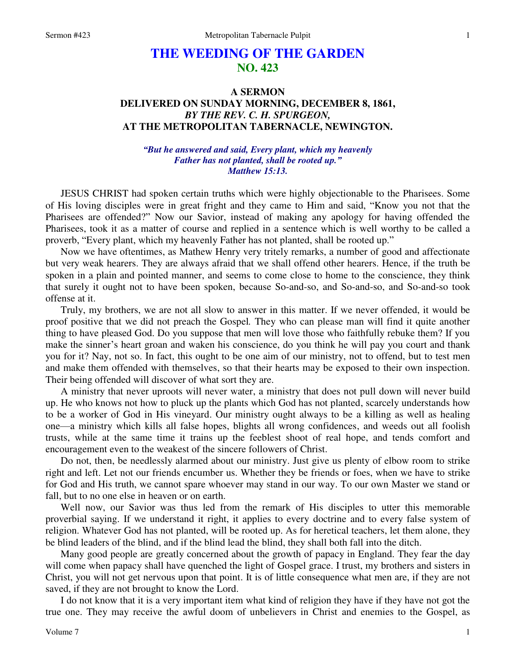## **THE WEEDING OF THE GARDEN NO. 423**

## **A SERMON DELIVERED ON SUNDAY MORNING, DECEMBER 8, 1861,**  *BY THE REV. C. H. SPURGEON,*  **AT THE METROPOLITAN TABERNACLE, NEWINGTON.**

## *"But he answered and said, Every plant, which my heavenly Father has not planted, shall be rooted up." Matthew 15:13.*

JESUS CHRIST had spoken certain truths which were highly objectionable to the Pharisees. Some of His loving disciples were in great fright and they came to Him and said, "Know you not that the Pharisees are offended?" Now our Savior, instead of making any apology for having offended the Pharisees, took it as a matter of course and replied in a sentence which is well worthy to be called a proverb, "Every plant, which my heavenly Father has not planted, shall be rooted up."

Now we have oftentimes, as Mathew Henry very tritely remarks, a number of good and affectionate but very weak hearers. They are always afraid that we shall offend other hearers. Hence, if the truth be spoken in a plain and pointed manner, and seems to come close to home to the conscience, they think that surely it ought not to have been spoken, because So-and-so, and So-and-so, and So-and-so took offense at it.

Truly, my brothers, we are not all slow to answer in this matter. If we never offended, it would be proof positive that we did not preach the Gospel*.* They who can please man will find it quite another thing to have pleased God. Do you suppose that men will love those who faithfully rebuke them? If you make the sinner's heart groan and waken his conscience, do you think he will pay you court and thank you for it? Nay, not so. In fact, this ought to be one aim of our ministry, not to offend, but to test men and make them offended with themselves, so that their hearts may be exposed to their own inspection. Their being offended will discover of what sort they are.

A ministry that never uproots will never water, a ministry that does not pull down will never build up. He who knows not how to pluck up the plants which God has not planted, scarcely understands how to be a worker of God in His vineyard. Our ministry ought always to be a killing as well as healing one—a ministry which kills all false hopes, blights all wrong confidences, and weeds out all foolish trusts, while at the same time it trains up the feeblest shoot of real hope, and tends comfort and encouragement even to the weakest of the sincere followers of Christ.

Do not, then, be needlessly alarmed about our ministry. Just give us plenty of elbow room to strike right and left. Let not our friends encumber us. Whether they be friends or foes, when we have to strike for God and His truth, we cannot spare whoever may stand in our way. To our own Master we stand or fall, but to no one else in heaven or on earth.

Well now, our Savior was thus led from the remark of His disciples to utter this memorable proverbial saying. If we understand it right, it applies to every doctrine and to every false system of religion. Whatever God has not planted, will be rooted up. As for heretical teachers, let them alone, they be blind leaders of the blind, and if the blind lead the blind, they shall both fall into the ditch.

Many good people are greatly concerned about the growth of papacy in England. They fear the day will come when papacy shall have quenched the light of Gospel grace. I trust, my brothers and sisters in Christ, you will not get nervous upon that point. It is of little consequence what men are, if they are not saved, if they are not brought to know the Lord.

I do not know that it is a very important item what kind of religion they have if they have not got the true one. They may receive the awful doom of unbelievers in Christ and enemies to the Gospel, as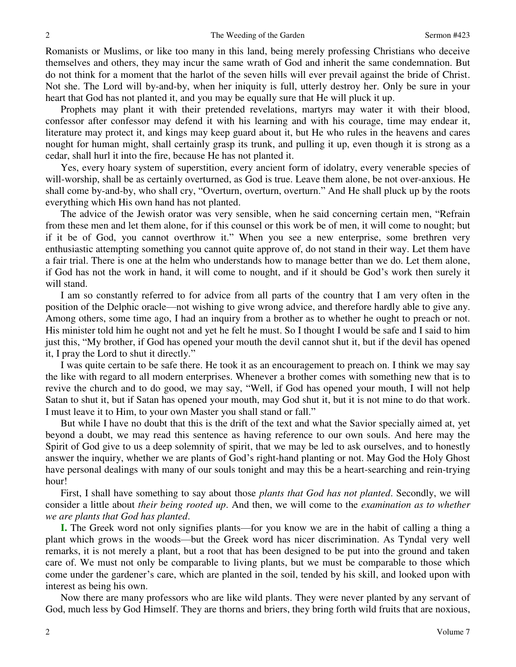Romanists or Muslims, or like too many in this land, being merely professing Christians who deceive themselves and others, they may incur the same wrath of God and inherit the same condemnation. But do not think for a moment that the harlot of the seven hills will ever prevail against the bride of Christ. Not she. The Lord will by-and-by, when her iniquity is full, utterly destroy her. Only be sure in your heart that God has not planted it, and you may be equally sure that He will pluck it up.

Prophets may plant it with their pretended revelations, martyrs may water it with their blood, confessor after confessor may defend it with his learning and with his courage, time may endear it, literature may protect it, and kings may keep guard about it, but He who rules in the heavens and cares nought for human might, shall certainly grasp its trunk, and pulling it up, even though it is strong as a cedar, shall hurl it into the fire, because He has not planted it.

Yes, every hoary system of superstition, every ancient form of idolatry, every venerable species of will-worship, shall be as certainly overturned, as God is true. Leave them alone, be not over-anxious. He shall come by-and-by, who shall cry, "Overturn, overturn, overturn." And He shall pluck up by the roots everything which His own hand has not planted.

The advice of the Jewish orator was very sensible, when he said concerning certain men, "Refrain from these men and let them alone, for if this counsel or this work be of men, it will come to nought; but if it be of God, you cannot overthrow it." When you see a new enterprise, some brethren very enthusiastic attempting something you cannot quite approve of, do not stand in their way. Let them have a fair trial. There is one at the helm who understands how to manage better than we do. Let them alone, if God has not the work in hand, it will come to nought, and if it should be God's work then surely it will stand.

I am so constantly referred to for advice from all parts of the country that I am very often in the position of the Delphic oracle—not wishing to give wrong advice, and therefore hardly able to give any. Among others, some time ago, I had an inquiry from a brother as to whether he ought to preach or not. His minister told him he ought not and yet he felt he must. So I thought I would be safe and I said to him just this, "My brother, if God has opened your mouth the devil cannot shut it, but if the devil has opened it, I pray the Lord to shut it directly."

I was quite certain to be safe there. He took it as an encouragement to preach on. I think we may say the like with regard to all modern enterprises. Whenever a brother comes with something new that is to revive the church and to do good, we may say, "Well, if God has opened your mouth, I will not help Satan to shut it, but if Satan has opened your mouth, may God shut it, but it is not mine to do that work. I must leave it to Him, to your own Master you shall stand or fall."

But while I have no doubt that this is the drift of the text and what the Savior specially aimed at, yet beyond a doubt, we may read this sentence as having reference to our own souls. And here may the Spirit of God give to us a deep solemnity of spirit, that we may be led to ask ourselves, and to honestly answer the inquiry, whether we are plants of God's right-hand planting or not. May God the Holy Ghost have personal dealings with many of our souls tonight and may this be a heart-searching and rein-trying hour!

First, I shall have something to say about those *plants that God has not planted*. Secondly, we will consider a little about *their being rooted up*. And then, we will come to the *examination as to whether we are plants that God has planted*.

**I.** The Greek word not only signifies plants—for you know we are in the habit of calling a thing a plant which grows in the woods—but the Greek word has nicer discrimination. As Tyndal very well remarks, it is not merely a plant, but a root that has been designed to be put into the ground and taken care of. We must not only be comparable to living plants, but we must be comparable to those which come under the gardener's care, which are planted in the soil, tended by his skill, and looked upon with interest as being his own.

Now there are many professors who are like wild plants. They were never planted by any servant of God, much less by God Himself. They are thorns and briers, they bring forth wild fruits that are noxious,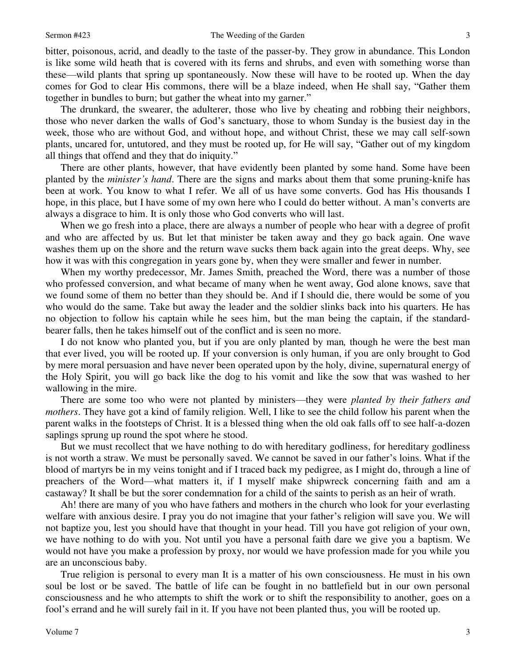bitter, poisonous, acrid, and deadly to the taste of the passer-by. They grow in abundance. This London is like some wild heath that is covered with its ferns and shrubs, and even with something worse than these—wild plants that spring up spontaneously. Now these will have to be rooted up. When the day comes for God to clear His commons, there will be a blaze indeed, when He shall say, "Gather them together in bundles to burn; but gather the wheat into my garner."

The drunkard, the swearer, the adulterer, those who live by cheating and robbing their neighbors, those who never darken the walls of God's sanctuary, those to whom Sunday is the busiest day in the week, those who are without God, and without hope, and without Christ, these we may call self-sown plants, uncared for, untutored, and they must be rooted up, for He will say, "Gather out of my kingdom all things that offend and they that do iniquity."

There are other plants, however, that have evidently been planted by some hand. Some have been planted by the *minister's hand*. There are the signs and marks about them that some pruning-knife has been at work. You know to what I refer. We all of us have some converts. God has His thousands I hope, in this place, but I have some of my own here who I could do better without. A man's converts are always a disgrace to him. It is only those who God converts who will last.

When we go fresh into a place, there are always a number of people who hear with a degree of profit and who are affected by us. But let that minister be taken away and they go back again. One wave washes them up on the shore and the return wave sucks them back again into the great deeps. Why, see how it was with this congregation in years gone by, when they were smaller and fewer in number.

When my worthy predecessor, Mr. James Smith, preached the Word, there was a number of those who professed conversion, and what became of many when he went away, God alone knows, save that we found some of them no better than they should be. And if I should die, there would be some of you who would do the same. Take but away the leader and the soldier slinks back into his quarters. He has no objection to follow his captain while he sees him, but the man being the captain, if the standardbearer falls, then he takes himself out of the conflict and is seen no more.

I do not know who planted you, but if you are only planted by man*,* though he were the best man that ever lived, you will be rooted up. If your conversion is only human, if you are only brought to God by mere moral persuasion and have never been operated upon by the holy, divine, supernatural energy of the Holy Spirit, you will go back like the dog to his vomit and like the sow that was washed to her wallowing in the mire.

There are some too who were not planted by ministers—they were *planted by their fathers and mothers*. They have got a kind of family religion. Well, I like to see the child follow his parent when the parent walks in the footsteps of Christ. It is a blessed thing when the old oak falls off to see half-a-dozen saplings sprung up round the spot where he stood.

But we must recollect that we have nothing to do with hereditary godliness, for hereditary godliness is not worth a straw. We must be personally saved. We cannot be saved in our father's loins. What if the blood of martyrs be in my veins tonight and if I traced back my pedigree, as I might do, through a line of preachers of the Word—what matters it, if I myself make shipwreck concerning faith and am a castaway? It shall be but the sorer condemnation for a child of the saints to perish as an heir of wrath.

Ah! there are many of you who have fathers and mothers in the church who look for your everlasting welfare with anxious desire. I pray you do not imagine that your father's religion will save you. We will not baptize you, lest you should have that thought in your head. Till you have got religion of your own, we have nothing to do with you. Not until you have a personal faith dare we give you a baptism. We would not have you make a profession by proxy, nor would we have profession made for you while you are an unconscious baby.

True religion is personal to every man It is a matter of his own consciousness. He must in his own soul be lost or be saved. The battle of life can be fought in no battlefield but in our own personal consciousness and he who attempts to shift the work or to shift the responsibility to another, goes on a fool's errand and he will surely fail in it. If you have not been planted thus, you will be rooted up.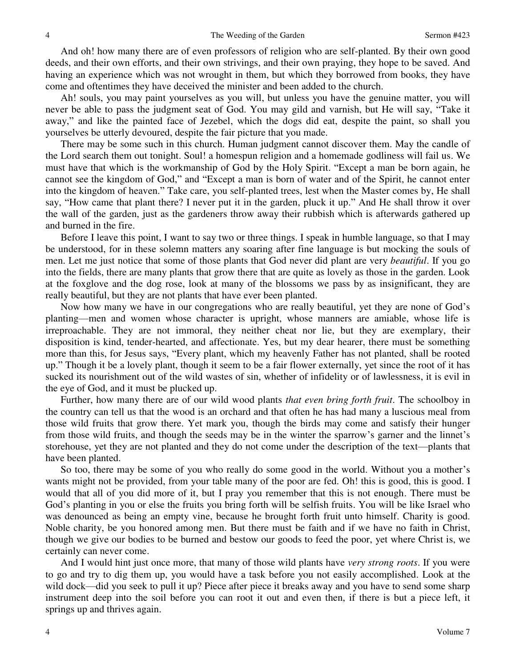And oh! how many there are of even professors of religion who are self-planted. By their own good deeds, and their own efforts, and their own strivings, and their own praying, they hope to be saved. And having an experience which was not wrought in them, but which they borrowed from books, they have come and oftentimes they have deceived the minister and been added to the church.

Ah! souls, you may paint yourselves as you will, but unless you have the genuine matter, you will never be able to pass the judgment seat of God. You may gild and varnish, but He will say, "Take it away," and like the painted face of Jezebel, which the dogs did eat, despite the paint, so shall you yourselves be utterly devoured, despite the fair picture that you made.

There may be some such in this church. Human judgment cannot discover them. May the candle of the Lord search them out tonight. Soul! a homespun religion and a homemade godliness will fail us. We must have that which is the workmanship of God by the Holy Spirit. "Except a man be born again, he cannot see the kingdom of God," and "Except a man is born of water and of the Spirit, he cannot enter into the kingdom of heaven." Take care, you self-planted trees, lest when the Master comes by, He shall say, "How came that plant there? I never put it in the garden, pluck it up." And He shall throw it over the wall of the garden, just as the gardeners throw away their rubbish which is afterwards gathered up and burned in the fire.

Before I leave this point, I want to say two or three things. I speak in humble language, so that I may be understood, for in these solemn matters any soaring after fine language is but mocking the souls of men. Let me just notice that some of those plants that God never did plant are very *beautiful*. If you go into the fields, there are many plants that grow there that are quite as lovely as those in the garden. Look at the foxglove and the dog rose, look at many of the blossoms we pass by as insignificant, they are really beautiful, but they are not plants that have ever been planted.

Now how many we have in our congregations who are really beautiful, yet they are none of God's planting—men and women whose character is upright, whose manners are amiable, whose life is irreproachable. They are not immoral, they neither cheat nor lie, but they are exemplary, their disposition is kind, tender-hearted, and affectionate. Yes, but my dear hearer, there must be something more than this, for Jesus says, "Every plant, which my heavenly Father has not planted, shall be rooted up." Though it be a lovely plant, though it seem to be a fair flower externally, yet since the root of it has sucked its nourishment out of the wild wastes of sin, whether of infidelity or of lawlessness, it is evil in the eye of God, and it must be plucked up.

Further, how many there are of our wild wood plants *that even bring forth fruit*. The schoolboy in the country can tell us that the wood is an orchard and that often he has had many a luscious meal from those wild fruits that grow there. Yet mark you, though the birds may come and satisfy their hunger from those wild fruits, and though the seeds may be in the winter the sparrow's garner and the linnet's storehouse, yet they are not planted and they do not come under the description of the text—plants that have been planted.

So too, there may be some of you who really do some good in the world. Without you a mother's wants might not be provided, from your table many of the poor are fed. Oh! this is good, this is good. I would that all of you did more of it, but I pray you remember that this is not enough. There must be God's planting in you or else the fruits you bring forth will be selfish fruits. You will be like Israel who was denounced as being an empty vine, because he brought forth fruit unto himself. Charity is good. Noble charity, be you honored among men. But there must be faith and if we have no faith in Christ, though we give our bodies to be burned and bestow our goods to feed the poor, yet where Christ is, we certainly can never come.

And I would hint just once more, that many of those wild plants have *very strong roots*. If you were to go and try to dig them up, you would have a task before you not easily accomplished. Look at the wild dock—did you seek to pull it up? Piece after piece it breaks away and you have to send some sharp instrument deep into the soil before you can root it out and even then, if there is but a piece left, it springs up and thrives again.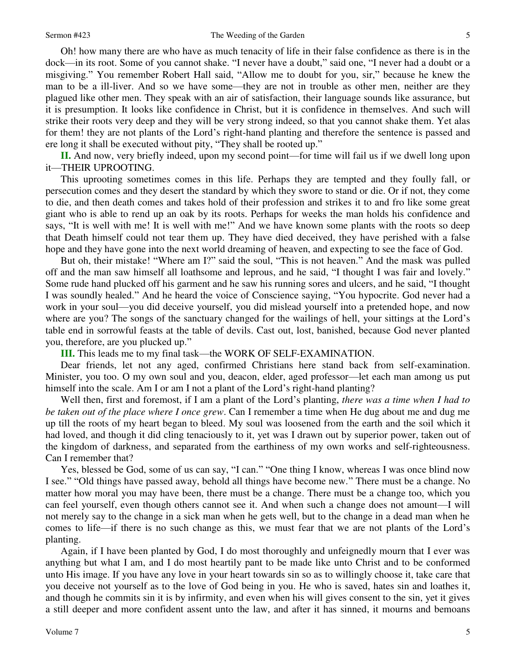Oh! how many there are who have as much tenacity of life in their false confidence as there is in the dock—in its root. Some of you cannot shake. "I never have a doubt," said one, "I never had a doubt or a misgiving." You remember Robert Hall said, "Allow me to doubt for you, sir," because he knew the man to be a ill-liver. And so we have some—they are not in trouble as other men, neither are they plagued like other men. They speak with an air of satisfaction, their language sounds like assurance, but it is presumption. It looks like confidence in Christ, but it is confidence in themselves. And such will strike their roots very deep and they will be very strong indeed, so that you cannot shake them. Yet alas for them! they are not plants of the Lord's right-hand planting and therefore the sentence is passed and ere long it shall be executed without pity, "They shall be rooted up."

**II.** And now, very briefly indeed, upon my second point—for time will fail us if we dwell long upon it—THEIR UPROOTING.

This uprooting sometimes comes in this life. Perhaps they are tempted and they foully fall, or persecution comes and they desert the standard by which they swore to stand or die. Or if not, they come to die, and then death comes and takes hold of their profession and strikes it to and fro like some great giant who is able to rend up an oak by its roots. Perhaps for weeks the man holds his confidence and says, "It is well with me! It is well with me!" And we have known some plants with the roots so deep that Death himself could not tear them up. They have died deceived, they have perished with a false hope and they have gone into the next world dreaming of heaven, and expecting to see the face of God.

But oh, their mistake! "Where am I?" said the soul, "This is not heaven." And the mask was pulled off and the man saw himself all loathsome and leprous, and he said, "I thought I was fair and lovely." Some rude hand plucked off his garment and he saw his running sores and ulcers, and he said, "I thought I was soundly healed." And he heard the voice of Conscience saying, "You hypocrite. God never had a work in your soul—you did deceive yourself, you did mislead yourself into a pretended hope, and now where are you? The songs of the sanctuary changed for the wailings of hell, your sittings at the Lord's table end in sorrowful feasts at the table of devils. Cast out, lost, banished, because God never planted you, therefore, are you plucked up."

**III.** This leads me to my final task—the WORK OF SELF-EXAMINATION.

Dear friends, let not any aged, confirmed Christians here stand back from self-examination. Minister, you too. O my own soul and you, deacon, elder, aged professor—let each man among us put himself into the scale. Am I or am I not a plant of the Lord's right-hand planting?

Well then, first and foremost, if I am a plant of the Lord's planting, *there was a time when I had to be taken out of the place where I once grew*. Can I remember a time when He dug about me and dug me up till the roots of my heart began to bleed. My soul was loosened from the earth and the soil which it had loved, and though it did cling tenaciously to it, yet was I drawn out by superior power, taken out of the kingdom of darkness, and separated from the earthiness of my own works and self-righteousness. Can I remember that?

Yes, blessed be God, some of us can say, "I can." "One thing I know, whereas I was once blind now I see." "Old things have passed away, behold all things have become new." There must be a change. No matter how moral you may have been, there must be a change. There must be a change too, which you can feel yourself, even though others cannot see it. And when such a change does not amount—I will not merely say to the change in a sick man when he gets well, but to the change in a dead man when he comes to life—if there is no such change as this, we must fear that we are not plants of the Lord's planting.

Again, if I have been planted by God, I do most thoroughly and unfeignedly mourn that I ever was anything but what I am, and I do most heartily pant to be made like unto Christ and to be conformed unto His image. If you have any love in your heart towards sin so as to willingly choose it, take care that you deceive not yourself as to the love of God being in you. He who is saved, hates sin and loathes it, and though he commits sin it is by infirmity, and even when his will gives consent to the sin, yet it gives a still deeper and more confident assent unto the law, and after it has sinned, it mourns and bemoans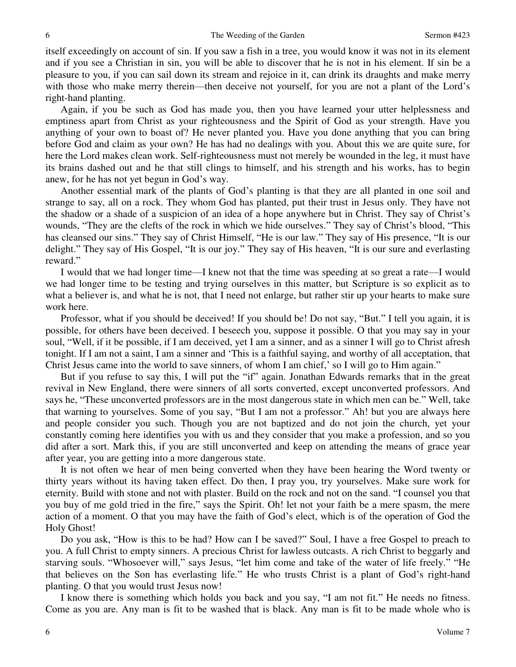itself exceedingly on account of sin. If you saw a fish in a tree, you would know it was not in its element and if you see a Christian in sin, you will be able to discover that he is not in his element. If sin be a pleasure to you, if you can sail down its stream and rejoice in it, can drink its draughts and make merry with those who make merry therein—then deceive not yourself, for you are not a plant of the Lord's right-hand planting.

Again, if you be such as God has made you, then you have learned your utter helplessness and emptiness apart from Christ as your righteousness and the Spirit of God as your strength. Have you anything of your own to boast of? He never planted you. Have you done anything that you can bring before God and claim as your own? He has had no dealings with you. About this we are quite sure, for here the Lord makes clean work. Self-righteousness must not merely be wounded in the leg, it must have its brains dashed out and he that still clings to himself, and his strength and his works, has to begin anew, for he has not yet begun in God's way.

Another essential mark of the plants of God's planting is that they are all planted in one soil and strange to say, all on a rock. They whom God has planted, put their trust in Jesus only. They have not the shadow or a shade of a suspicion of an idea of a hope anywhere but in Christ. They say of Christ's wounds, "They are the clefts of the rock in which we hide ourselves." They say of Christ's blood, "This has cleansed our sins." They say of Christ Himself, "He is our law." They say of His presence, "It is our delight." They say of His Gospel, "It is our joy." They say of His heaven, "It is our sure and everlasting reward."

I would that we had longer time—I knew not that the time was speeding at so great a rate—I would we had longer time to be testing and trying ourselves in this matter, but Scripture is so explicit as to what a believer is, and what he is not, that I need not enlarge, but rather stir up your hearts to make sure work here.

Professor, what if you should be deceived! If you should be! Do not say, "But." I tell you again, it is possible, for others have been deceived. I beseech you, suppose it possible. O that you may say in your soul, "Well, if it be possible, if I am deceived, yet I am a sinner, and as a sinner I will go to Christ afresh tonight. If I am not a saint, I am a sinner and 'This is a faithful saying, and worthy of all acceptation, that Christ Jesus came into the world to save sinners, of whom I am chief,' so I will go to Him again."

But if you refuse to say this, I will put the "if" again. Jonathan Edwards remarks that in the great revival in New England, there were sinners of all sorts converted, except unconverted professors. And says he, "These unconverted professors are in the most dangerous state in which men can be." Well, take that warning to yourselves. Some of you say, "But I am not a professor." Ah! but you are always here and people consider you such. Though you are not baptized and do not join the church, yet your constantly coming here identifies you with us and they consider that you make a profession, and so you did after a sort. Mark this, if you are still unconverted and keep on attending the means of grace year after year, you are getting into a more dangerous state.

It is not often we hear of men being converted when they have been hearing the Word twenty or thirty years without its having taken effect. Do then, I pray you, try yourselves. Make sure work for eternity. Build with stone and not with plaster. Build on the rock and not on the sand. "I counsel you that you buy of me gold tried in the fire," says the Spirit. Oh! let not your faith be a mere spasm, the mere action of a moment. O that you may have the faith of God's elect, which is of the operation of God the Holy Ghost!

Do you ask, "How is this to be had? How can I be saved?" Soul, I have a free Gospel to preach to you. A full Christ to empty sinners. A precious Christ for lawless outcasts. A rich Christ to beggarly and starving souls. "Whosoever will," says Jesus, "let him come and take of the water of life freely." "He that believes on the Son has everlasting life." He who trusts Christ is a plant of God's right-hand planting. O that you would trust Jesus now!

I know there is something which holds you back and you say, "I am not fit." He needs no fitness. Come as you are. Any man is fit to be washed that is black. Any man is fit to be made whole who is

6